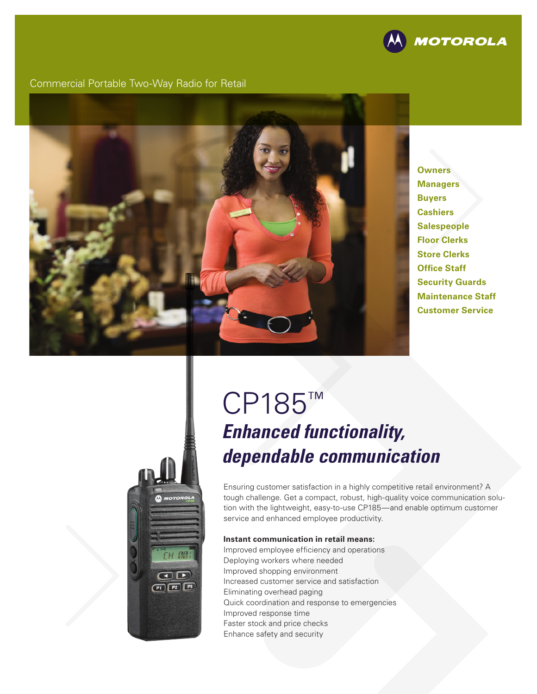

Commercial Portable Two-Way Radio for Retail



**Owners Managers Buyers Cashiers Salespeople Floor Clerks Store Clerks Office Staff Security Guards Maintenance Staff Customer Service**

# **H AM** OD  $P1$   $P2$   $P3$

# CP185™ *Enhanced functionality, dependable communication*

Ensuring customer satisfaction in a highly competitive retail environment? A tough challenge. Get a compact, robust, high-quality voice communication solution with the lightweight, easy-to-use CP185—and enable optimum customer service and enhanced employee productivity.

#### **Instant communication in retail means:**

Improved employee efficiency and operations Deploying workers where needed Improved shopping environment Increased customer service and satisfaction Eliminating overhead paging Quick coordination and response to emergencies Improved response time Faster stock and price checks Enhance safety and security